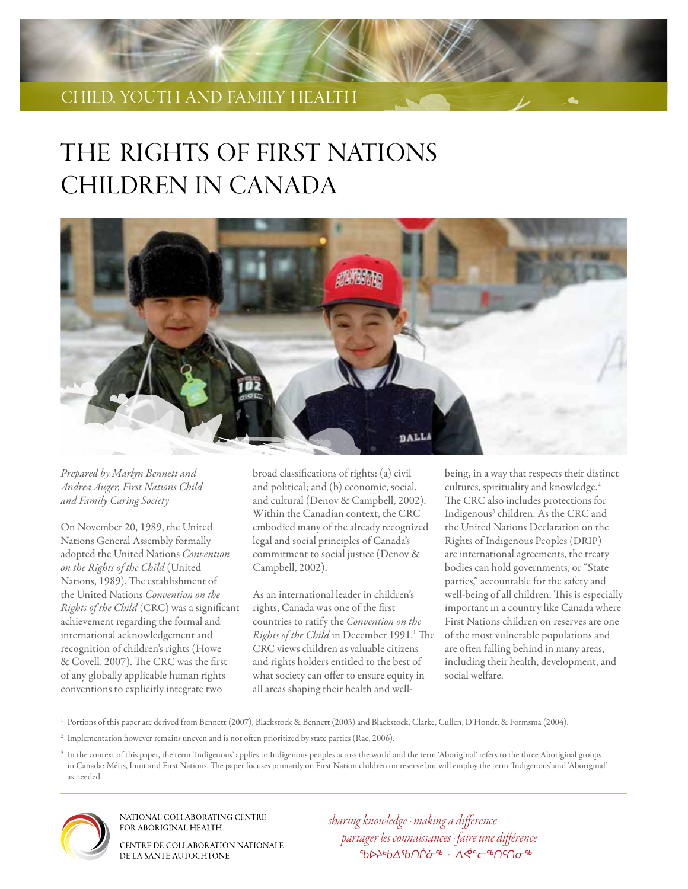# child, youth AND family health

# THE RIGHTS OF FIRST NATIONS CHILDREN IN CANADA



*Prepared by Marlyn Bennett and Andrea Auger, First Nations Child and Family Caring Society*

On November 20, 1989, the United Nations General Assembly formally adopted the United Nations *Convention on the Rights of the Child* (United Nations, 1989). The establishment of the United Nations *Convention on the Rights of the Child* (CRC) was a significant achievement regarding the formal and international acknowledgement and recognition of children's rights (Howe & Covell, 2007). The CRC was the first of any globally applicable human rights conventions to explicitly integrate two

broad classifications of rights: (a) civil and political; and (b) economic, social, and cultural (Denov & Campbell, 2002). Within the Canadian context, the CRC embodied many of the already recognized legal and social principles of Canada's commitment to social justice (Denov & Campbell, 2002).

As an international leader in children's rights, Canada was one of the first countries to ratify the *Convention on the*  Rights of the Child in December 1991.<sup>1</sup> The CRC views children as valuable citizens and rights holders entitled to the best of what society can offer to ensure equity in all areas shaping their health and well-

being, in a way that respects their distinct cultures, spirituality and knowledge.<sup>2</sup> The CRC also includes protections for Indigenous<sup>3</sup> children. As the CRC and the United Nations Declaration on the Rights of Indigenous Peoples (DRIP) are international agreements, the treaty bodies can hold governments, or "State parties," accountable for the safety and well-being of all children. This is especially important in a country like Canada where First Nations children on reserves are one of the most vulnerable populations and are often falling behind in many areas, including their health, development, and social welfare.

<sup>1</sup> Portions of this paper are derived from Bennett (2007), Blackstock & Bennett (2003) and Blackstock, Clarke, Cullen, D'Hondt, & Formsma (2004).

<sup>2</sup> Implementation however remains uneven and is not often prioritized by state parties (Rae, 2006).

<sup>3</sup> In the context of this paper, the term 'Indigenous' applies to Indigenous peoples across the world and the term 'Aboriginal' refers to the three Aboriginal groups in Canada: Métis, Inuit and First Nations. The paper focuses primarily on First Nation children on reserve but will employ the term 'Indigenous' and 'Aboriginal' as needed.



NATIONAL COLLABORATING CENTRE FOR ABORIGINAL HEALTH

CENTRE DE COLLABORATION NATIONALE DE LA SANTÉ AUTOCHTONE

*sharing knowledge · making a difference partager les connaissances · faire une différence ᖃᐅᔨᒃᑲᐃᖃᑎᒌᓃᖅ · ᐱᕚᓪᓕᖅᑎᑦᑎᓂᖅ*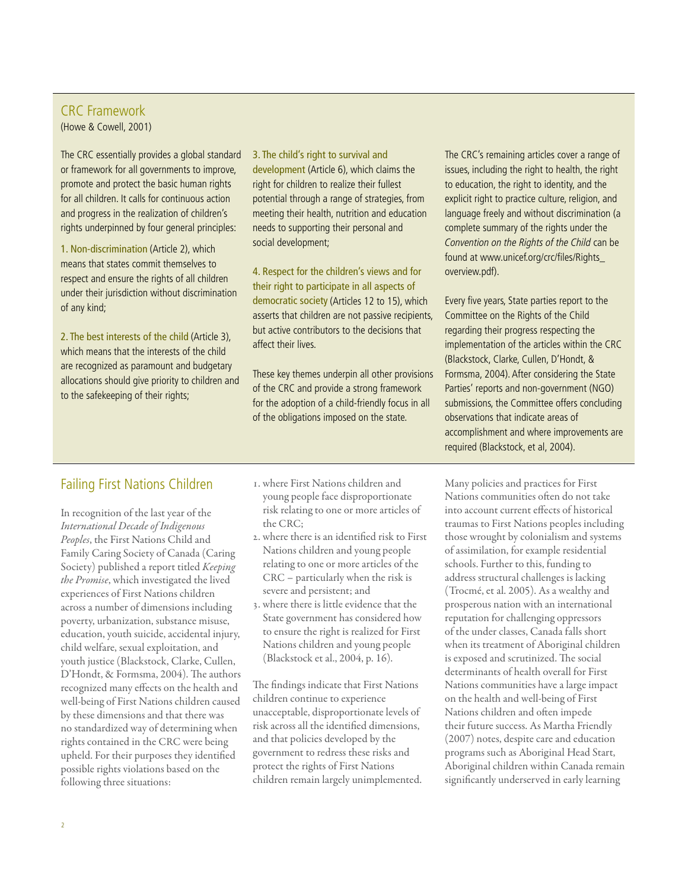# CRC Framework

(Howe & Cowell, 2001)

The CRC essentially provides a global standard or framework for all governments to improve, promote and protect the basic human rights for all children. It calls for continuous action and progress in the realization of children's rights underpinned by four general principles:

1. Non-discrimination (Article 2), which means that states commit themselves to respect and ensure the rights of all children under their jurisdiction without discrimination of any kind;

2. The best interests of the child (Article 3), which means that the interests of the child are recognized as paramount and budgetary allocations should give priority to children and to the safekeeping of their rights;

3. The child's right to survival and development (Article 6), which claims the right for children to realize their fullest potential through a range of strategies, from meeting their health, nutrition and education needs to supporting their personal and social development;

4. Respect for the children's views and for their right to participate in all aspects of democratic society (Articles 12 to 15), which asserts that children are not passive recipients, but active contributors to the decisions that affect their lives.

These key themes underpin all other provisions of the CRC and provide a strong framework for the adoption of a child-friendly focus in all of the obligations imposed on the state.

The CRC's remaining articles cover a range of issues, including the right to health, the right to education, the right to identity, and the explicit right to practice culture, religion, and language freely and without discrimination (a complete summary of the rights under the Convention on the Rights of the Child can be found at www.unicef.org/crc/files/Rights\_ overview.pdf).

Every five years, State parties report to the Committee on the Rights of the Child regarding their progress respecting the implementation of the articles within the CRC (Blackstock, Clarke, Cullen, D'Hondt, & Formsma, 2004). After considering the State Parties' reports and non-government (NGO) submissions, the Committee offers concluding observations that indicate areas of accomplishment and where improvements are required (Blackstock, et al, 2004).

## Failing First Nations Children

In recognition of the last year of the *International Decade of Indigenous Peoples*, the First Nations Child and Family Caring Society of Canada (Caring Society) published a report titled *Keeping the Promise*, which investigated the lived experiences of First Nations children across a number of dimensions including poverty, urbanization, substance misuse, education, youth suicide, accidental injury, child welfare, sexual exploitation, and youth justice (Blackstock, Clarke, Cullen, D'Hondt, & Formsma, 2004). The authors recognized many effects on the health and well-being of First Nations children caused by these dimensions and that there was no standardized way of determining when rights contained in the CRC were being upheld. For their purposes they identified possible rights violations based on the following three situations:

- 1. where First Nations children and young people face disproportionate risk relating to one or more articles of the CRC;
- 2. where there is an identified risk to First Nations children and young people relating to one or more articles of the CRC – particularly when the risk is severe and persistent; and
- 3. where there is little evidence that the State government has considered how to ensure the right is realized for First Nations children and young people (Blackstock et al., 2004, p. 16).

The findings indicate that First Nations children continue to experience unacceptable, disproportionate levels of risk across all the identified dimensions, and that policies developed by the government to redress these risks and protect the rights of First Nations children remain largely unimplemented.

Many policies and practices for First Nations communities often do not take into account current effects of historical traumas to First Nations peoples including those wrought by colonialism and systems of assimilation, for example residential schools. Further to this, funding to address structural challenges is lacking (Trocmé, et al. 2005). As a wealthy and prosperous nation with an international reputation for challenging oppressors of the under classes, Canada falls short when its treatment of Aboriginal children is exposed and scrutinized. The social determinants of health overall for First Nations communities have a large impact on the health and well-being of First Nations children and often impede their future success. As Martha Friendly (2007) notes, despite care and education programs such as Aboriginal Head Start, Aboriginal children within Canada remain significantly underserved in early learning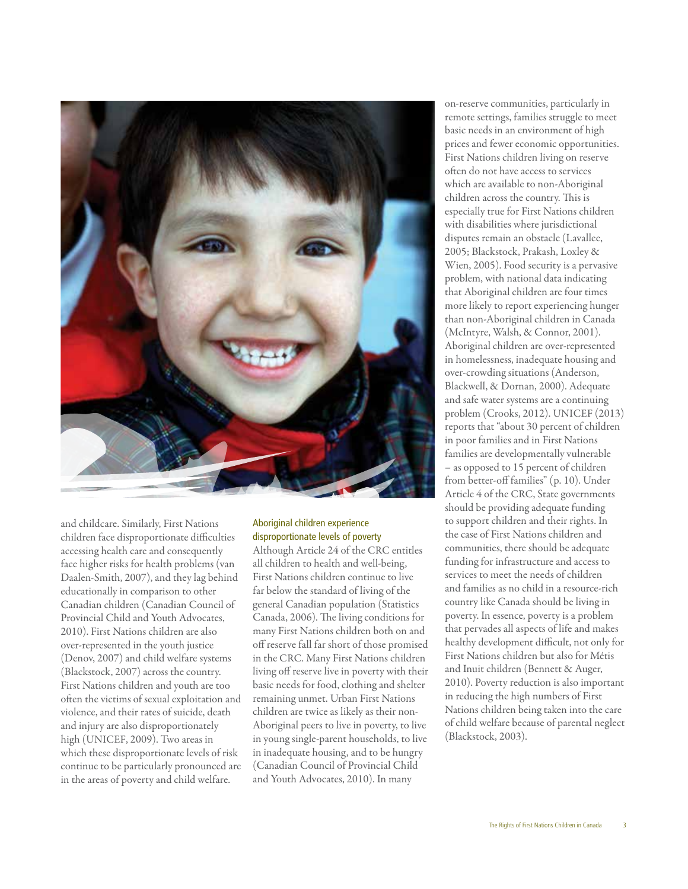

and childcare. Similarly, First Nations children face disproportionate difficulties accessing health care and consequently face higher risks for health problems (van Daalen-Smith, 2007), and they lag behind educationally in comparison to other Canadian children (Canadian Council of Provincial Child and Youth Advocates, 2010). First Nations children are also over-represented in the youth justice (Denov, 2007) and child welfare systems (Blackstock, 2007) across the country. First Nations children and youth are too often the victims of sexual exploitation and violence, and their rates of suicide, death and injury are also disproportionately high (UNICEF, 2009). Two areas in which these disproportionate levels of risk continue to be particularly pronounced are in the areas of poverty and child welfare.

#### Aboriginal children experience disproportionate levels of poverty

Although Article 24 of the CRC entitles all children to health and well-being, First Nations children continue to live far below the standard of living of the general Canadian population (Statistics Canada, 2006). The living conditions for many First Nations children both on and off reserve fall far short of those promised in the CRC. Many First Nations children living off reserve live in poverty with their basic needs for food, clothing and shelter remaining unmet. Urban First Nations children are twice as likely as their non-Aboriginal peers to live in poverty, to live in young single-parent households, to live in inadequate housing, and to be hungry (Canadian Council of Provincial Child and Youth Advocates, 2010). In many

on-reserve communities, particularly in remote settings, families struggle to meet basic needs in an environment of high prices and fewer economic opportunities. First Nations children living on reserve often do not have access to services which are available to non-Aboriginal children across the country. This is especially true for First Nations children with disabilities where jurisdictional disputes remain an obstacle (Lavallee, 2005; Blackstock, Prakash, Loxley & Wien, 2005). Food security is a pervasive problem, with national data indicating that Aboriginal children are four times more likely to report experiencing hunger than non-Aboriginal children in Canada (McIntyre, Walsh, & Connor, 2001). Aboriginal children are over-represented in homelessness, inadequate housing and over-crowding situations (Anderson, Blackwell, & Dornan, 2000). Adequate and safe water systems are a continuing problem (Crooks, 2012). UNICEF (2013) reports that "about 30 percent of children in poor families and in First Nations families are developmentally vulnerable – as opposed to 15 percent of children from better-off families" (p. 10). Under Article 4 of the CRC, State governments should be providing adequate funding to support children and their rights. In the case of First Nations children and communities, there should be adequate funding for infrastructure and access to services to meet the needs of children and families as no child in a resource-rich country like Canada should be living in poverty. In essence, poverty is a problem that pervades all aspects of life and makes healthy development difficult, not only for First Nations children but also for Métis and Inuit children (Bennett & Auger, 2010). Poverty reduction is also important in reducing the high numbers of First Nations children being taken into the care of child welfare because of parental neglect (Blackstock, 2003).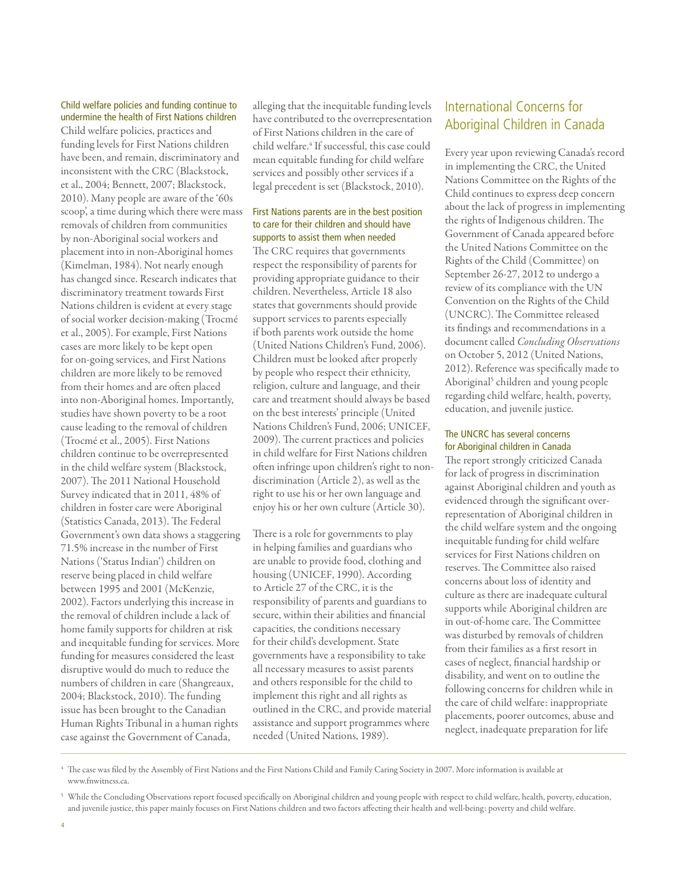#### Child welfare policies and funding continue to undermine the health of First Nations children

Child welfare policies, practices and funding levels for First Nations children have been, and remain, discriminatory and inconsistent with the CRC (Blackstock, et al., 2004; Bennett, 2007; Blackstock, 2010). Many people are aware of the '60s scoop', a time during which there were mass removals of children from communities by non-Aboriginal social workers and placement into in non-Aboriginal homes (Kimelman, 1984). Not nearly enough has changed since. Research indicates that discriminatory treatment towards First Nations children is evident at every stage of social worker decision-making (Trocmé et al., 2005). For example, First Nations cases are more likely to be kept open for on-going services, and First Nations children are more likely to be removed from their homes and are often placed into non-Aboriginal homes. Importantly, studies have shown poverty to be a root cause leading to the removal of children (Trocmé et al., 2005). First Nations children continue to be overrepresented in the child welfare system (Blackstock, 2007). The 2011 National Household Survey indicated that in 2011, 48% of children in foster care were Aboriginal (Statistics Canada, 2013). The Federal Government's own data shows a staggering 71.5% increase in the number of First Nations ('Status Indian') children on reserve being placed in child welfare between 1995 and 2001 (McKenzie, 2002). Factors underlying this increase in the removal of children include a lack of home family supports for children at risk and inequitable funding for services. More funding for measures considered the least disruptive would do much to reduce the numbers of children in care (Shangreaux, 2004; Blackstock, 2010). The funding issue has been brought to the Canadian Human Rights Tribunal in a human rights case against the Government of Canada,

alleging that the inequitable funding levels have contributed to the overrepresentation of First Nations children in the care of child welfare.4 If successful, this case could mean equitable funding for child welfare services and possibly other services if a legal precedent is set (Blackstock, 2010).

#### First Nations parents are in the best position to care for their children and should have supports to assist them when needed

The CRC requires that governments respect the responsibility of parents for providing appropriate guidance to their children. Nevertheless, Article 18 also states that governments should provide support services to parents especially if both parents work outside the home (United Nations Children's Fund, 2006). Children must be looked after properly by people who respect their ethnicity, religion, culture and language, and their care and treatment should always be based on the best interests' principle (United Nations Children's Fund, 2006; UNICEF, 2009). The current practices and policies in child welfare for First Nations children often infringe upon children's right to nondiscrimination (Article 2), as well as the right to use his or her own language and enjoy his or her own culture (Article 30).

There is a role for governments to play in helping families and guardians who are unable to provide food, clothing and housing (UNICEF, 1990). According to Article 27 of the CRC, it is the responsibility of parents and guardians to secure, within their abilities and financial capacities, the conditions necessary for their child's development. State governments have a responsibility to take all necessary measures to assist parents and others responsible for the child to implement this right and all rights as outlined in the CRC, and provide material assistance and support programmes where needed (United Nations, 1989).

# International Concerns for Aboriginal Children in Canada

Every year upon reviewing Canada's record in implementing the CRC, the United Nations Committee on the Rights of the Child continues to express deep concern about the lack of progress in implementing the rights of Indigenous children. The Government of Canada appeared before the United Nations Committee on the Rights of the Child (Committee) on September 26-27, 2012 to undergo a review of its compliance with the UN Convention on the Rights of the Child (UNCRC). The Committee released its findings and recommendations in a document called *Concluding Observations* on October 5, 2012 (United Nations, 2012). Reference was specifically made to Aboriginal<sup>5</sup> children and young people regarding child welfare, health, poverty, education, and juvenile justice.

#### The UNCRC has several concerns for Aboriginal children in Canada

The report strongly criticized Canada for lack of progress in discrimination against Aboriginal children and youth as evidenced through the significant overrepresentation of Aboriginal children in the child welfare system and the ongoing inequitable funding for child welfare services for First Nations children on reserves. The Committee also raised concerns about loss of identity and culture as there are inadequate cultural supports while Aboriginal children are in out-of-home care. The Committee was disturbed by removals of children from their families as a first resort in cases of neglect, financial hardship or disability, and went on to outline the following concerns for children while in the care of child welfare: inappropriate placements, poorer outcomes, abuse and neglect, inadequate preparation for life

<sup>4</sup> The case was filed by the Assembly of First Nations and the First Nations Child and Family Caring Society in 2007. More information is available at www.fnwitness.ca.

<sup>5</sup> While the Concluding Observations report focused specifically on Aboriginal children and young people with respect to child welfare, health, poverty, education, and juvenile justice, this paper mainly focuses on First Nations children and two factors affecting their health and well-being: poverty and child welfare.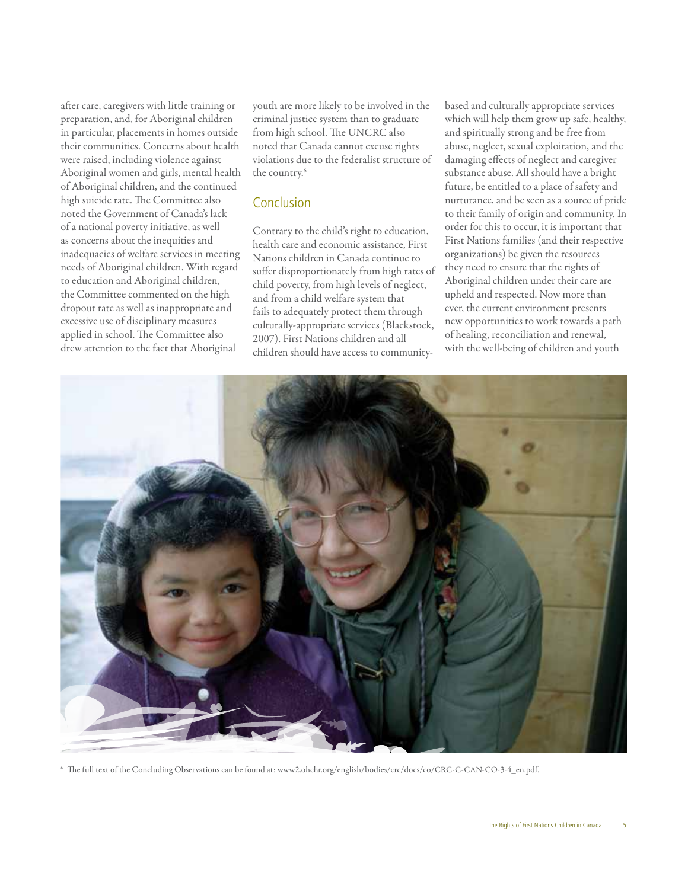after care, caregivers with little training or preparation, and, for Aboriginal children in particular, placements in homes outside their communities. Concerns about health were raised, including violence against Aboriginal women and girls, mental health of Aboriginal children, and the continued high suicide rate. The Committee also noted the Government of Canada's lack of a national poverty initiative, as well as concerns about the inequities and inadequacies of welfare services in meeting needs of Aboriginal children. With regard to education and Aboriginal children, the Committee commented on the high dropout rate as well as inappropriate and excessive use of disciplinary measures applied in school. The Committee also drew attention to the fact that Aboriginal

youth are more likely to be involved in the criminal justice system than to graduate from high school. The UNCRC also noted that Canada cannot excuse rights violations due to the federalist structure of the country.<sup>6</sup>

### Conclusion

Contrary to the child's right to education, health care and economic assistance, First Nations children in Canada continue to suffer disproportionately from high rates of child poverty, from high levels of neglect, and from a child welfare system that fails to adequately protect them through culturally-appropriate services (Blackstock, 2007). First Nations children and all children should have access to communitybased and culturally appropriate services which will help them grow up safe, healthy, and spiritually strong and be free from abuse, neglect, sexual exploitation, and the damaging effects of neglect and caregiver substance abuse. All should have a bright future, be entitled to a place of safety and nurturance, and be seen as a source of pride to their family of origin and community. In order for this to occur, it is important that First Nations families (and their respective organizations) be given the resources they need to ensure that the rights of Aboriginal children under their care are upheld and respected. Now more than ever, the current environment presents new opportunities to work towards a path of healing, reconciliation and renewal, with the well-being of children and youth



<sup>6</sup> The full text of the Concluding Observations can be found at: www2.ohchr.org/english/bodies/crc/docs/co/CRC-C-CAN-CO-3-4\_en.pdf.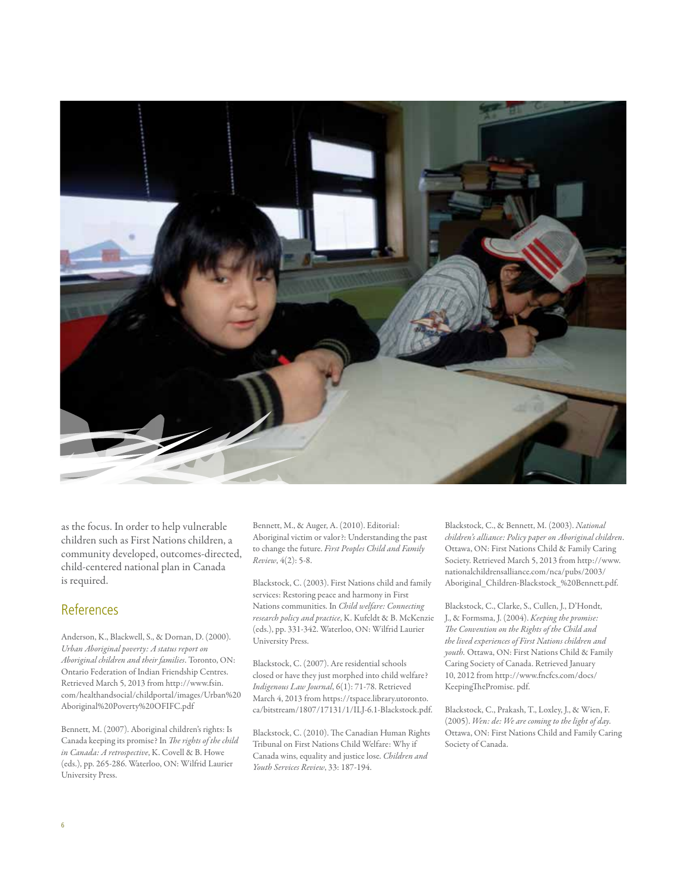

as the focus. In order to help vulnerable children such as First Nations children, a community developed, outcomes-directed, child-centered national plan in Canada is required.

## References

Anderson, K., Blackwell, S., & Dornan, D. (2000). *Urban Aboriginal poverty: A status report on Aboriginal children and their families*. Toronto, ON: Ontario Federation of Indian Friendship Centres. Retrieved March 5, 2013 from http://www.fsin. com/healthandsocial/childportal/images/Urban%20 Aboriginal%20Poverty%20OFIFC.pdf

Bennett, M. (2007). Aboriginal children's rights: Is Canada keeping its promise? In *The rights of the child in Canada: A retrospective*, K. Covell & B. Howe (eds.), pp. 265-286. Waterloo, ON: Wilfrid Laurier University Press.

Bennett, M., & Auger, A. (2010). Editorial: Aboriginal victim or valor?: Understanding the past to change the future. *First Peoples Child and Family Review*, 4(2): 5-8.

Blackstock, C. (2003). First Nations child and family services: Restoring peace and harmony in First Nations communities. In *Child welfare: Connecting research policy and practice*, K. Kufeldt & B. McKenzie (eds.), pp. 331-342. Waterloo, ON: Wilfrid Laurier University Press.

Blackstock, C. (2007). Are residential schools closed or have they just morphed into child welfare? *Indigenous Law Journal*, 6(1): 71-78. Retrieved March 4, 2013 from https://tspace.library.utoronto. ca/bitstream/1807/17131/1/ILJ-6.1-Blackstock.pdf.

Blackstock, C. (2010). The Canadian Human Rights Tribunal on First Nations Child Welfare: Why if Canada wins, equality and justice lose. *Children and Youth Services Review*, 33: 187-194.

Blackstock, C., & Bennett, M. (2003). *National children's alliance: Policy paper on Aboriginal children*. Ottawa, ON: First Nations Child & Family Caring Society. Retrieved March 5, 2013 from http://www. nationalchildrensalliance.com/nca/pubs/2003/ Aboriginal\_Children-Blackstock\_%20Bennett.pdf.

Blackstock, C., Clarke, S., Cullen, J., D'Hondt, J., & Formsma, J. (2004). *Keeping the promise: The Convention on the Rights of the Child and the lived experiences of First Nations children and youth.* Ottawa, ON: First Nations Child & Family Caring Society of Canada. Retrieved January 10, 2012 from http://www.fncfcs.com/docs/ KeepingThePromise. pdf.

Blackstock, C., Prakash, T., Loxley, J., & Wien, F. (2005). *Wen: de: We are coming to the light of day.*  Ottawa, ON: First Nations Child and Family Caring Society of Canada.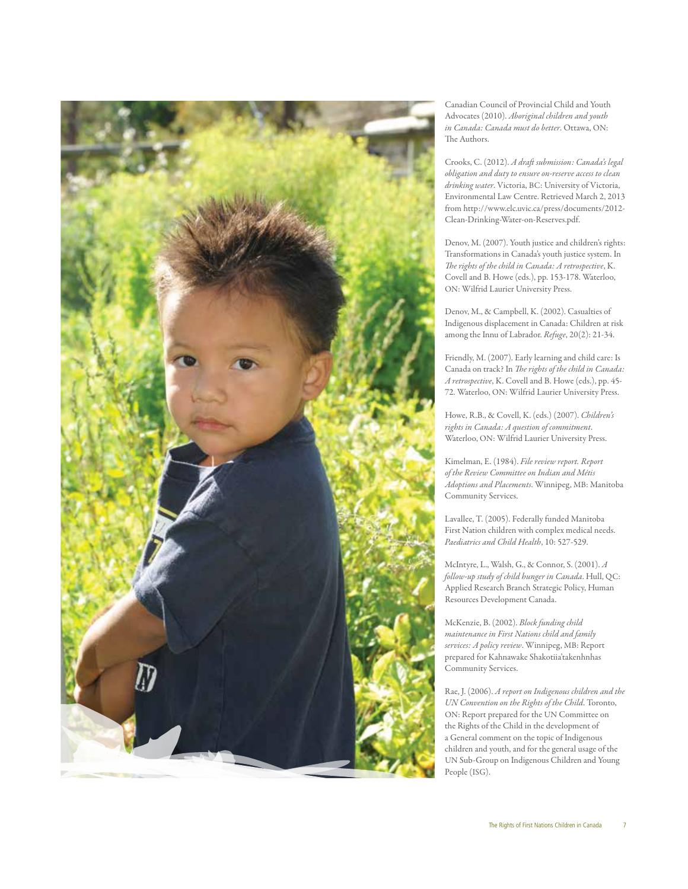

Canadian Council of Provincial Child and Youth Advocates (2010). *Aboriginal children and youth in Canada: Canada must do better*. Ottawa, ON: The Authors.

Crooks, C. (2012). *A draft submission: Canada's legal obligation and duty to ensure on-reserve access to clean drinking water*. Victoria, BC: University of Victoria, Environmental Law Centre. Retrieved March 2, 2013 from http://www.elc.uvic.ca/press/documents/2012- Clean-Drinking-Water-on-Reserves.pdf.

Denov, M. (2007). Youth justice and children's rights: Transformations in Canada's youth justice system. In *The rights of the child in Canada: A retrospective*, K. Covell and B. Howe (eds.), pp. 153-178. Waterloo, ON: Wilfrid Laurier University Press.

Denov, M., & Campbell, K. (2002). Casualties of Indigenous displacement in Canada: Children at risk among the Innu of Labrador. *Refuge*, 20(2): 21-34.

Friendly, M. (2007). Early learning and child care: Is Canada on track? In *The rights of the child in Canada: A retrospective*, K. Covell and B. Howe (eds.), pp. 45- 72. Waterloo, ON: Wilfrid Laurier University Press.

Howe, R.B., & Covell, K. (eds.) (2007). *Children's rights in Canada: A question of commitment*. Waterloo, ON: Wilfrid Laurier University Press.

Kimelman, E. (1984). *File review report. Report of the Review Committee on Indian and Métis Adoptions and Placements*. Winnipeg, MB: Manitoba Community Services.

Lavallee, T. (2005). Federally funded Manitoba First Nation children with complex medical needs. *Paediatrics and Child Health*, 10: 527-529.

McIntyre, L., Walsh, G., & Connor, S. (2001). *A follow-up study of child hunger in Canada*. Hull, QC: Applied Research Branch Strategic Policy, Human Resources Development Canada.

McKenzie, B. (2002). *Block funding child maintenance in First Nations child and family services: A policy review*. Winnipeg, MB: Report prepared for Kahnawake Shakotiia'takenhnhas Community Services.

Rae, J. (2006). *A report on Indigenous children and the UN Convention on the Rights of the Child*. Toronto, ON: Report prepared for the UN Committee on the Rights of the Child in the development of a General comment on the topic of Indigenous children and youth, and for the general usage of the UN Sub-Group on Indigenous Children and Young People (ISG).